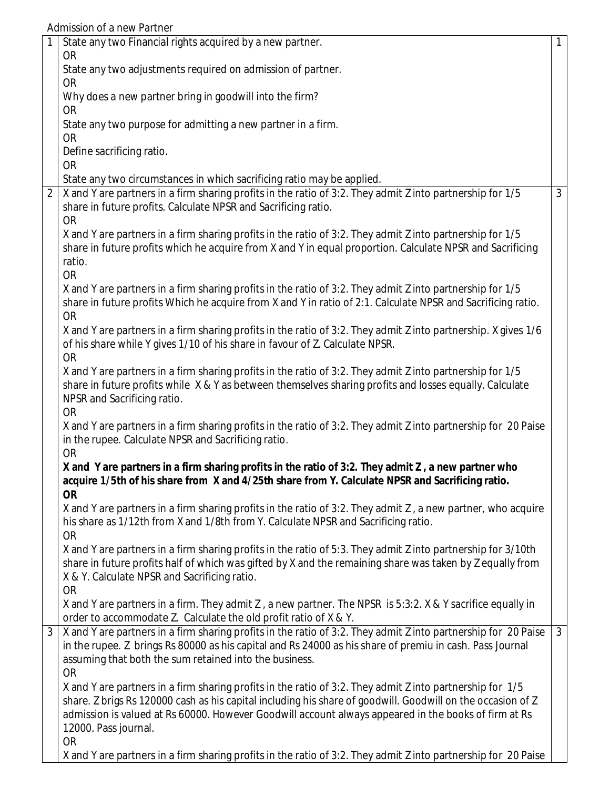Admission of a new Partner

|                | State any two Financial rights acquired by a new partner.                                                                                                                                                                 | $\mathbf{1}$   |
|----------------|---------------------------------------------------------------------------------------------------------------------------------------------------------------------------------------------------------------------------|----------------|
|                | <b>OR</b><br>State any two adjustments required on admission of partner.                                                                                                                                                  |                |
|                | <b>OR</b>                                                                                                                                                                                                                 |                |
|                | Why does a new partner bring in goodwill into the firm?                                                                                                                                                                   |                |
|                | <b>OR</b>                                                                                                                                                                                                                 |                |
|                | State any two purpose for admitting a new partner in a firm.                                                                                                                                                              |                |
|                | <b>OR</b>                                                                                                                                                                                                                 |                |
|                | Define sacrificing ratio.<br><b>OR</b>                                                                                                                                                                                    |                |
|                | State any two circumstances in which sacrificing ratio may be applied.                                                                                                                                                    |                |
| $\overline{2}$ | X and Y are partners in a firm sharing profits in the ratio of 3:2. They admit Z into partnership for 1/5                                                                                                                 | 3              |
|                | share in future profits. Calculate NPSR and Sacrificing ratio.                                                                                                                                                            |                |
|                | <b>OR</b>                                                                                                                                                                                                                 |                |
|                | X and Y are partners in a firm sharing profits in the ratio of 3:2. They admit Z into partnership for 1/5                                                                                                                 |                |
|                | share in future profits which he acquire from X and Y in equal proportion. Calculate NPSR and Sacrificing<br>ratio.                                                                                                       |                |
|                | <b>OR</b>                                                                                                                                                                                                                 |                |
|                | X and Y are partners in a firm sharing profits in the ratio of 3:2. They admit Z into partnership for 1/5                                                                                                                 |                |
|                | share in future profits Which he acquire from X and Y in ratio of 2:1. Calculate NPSR and Sacrificing ratio.                                                                                                              |                |
|                | <b>OR</b>                                                                                                                                                                                                                 |                |
|                | X and Y are partners in a firm sharing profits in the ratio of 3:2. They admit Z into partnership. X gives 1/6                                                                                                            |                |
|                | of his share while Y gives 1/10 of his share in favour of Z. Calculate NPSR.<br><b>OR</b>                                                                                                                                 |                |
|                | X and Y are partners in a firm sharing profits in the ratio of 3:2. They admit Z into partnership for 1/5                                                                                                                 |                |
|                | share in future profits while X & Y as between themselves sharing profits and losses equally. Calculate                                                                                                                   |                |
|                | NPSR and Sacrificing ratio.                                                                                                                                                                                               |                |
|                | <b>OR</b>                                                                                                                                                                                                                 |                |
|                | X and Y are partners in a firm sharing profits in the ratio of 3:2. They admit Z into partnership for 20 Paise                                                                                                            |                |
|                | in the rupee. Calculate NPSR and Sacrificing ratio.                                                                                                                                                                       |                |
|                | <b>OR</b><br>X and Y are partners in a firm sharing profits in the ratio of 3:2. They admit Z, a new partner who                                                                                                          |                |
|                | acquire 1/5th of his share from X and 4/25th share from Y. Calculate NPSR and Sacrificing ratio.                                                                                                                          |                |
|                | <b>OR</b>                                                                                                                                                                                                                 |                |
|                | X and Y are partners in a firm sharing profits in the ratio of 3:2. They admit Z, a new partner, who acquire                                                                                                              |                |
|                | his share as 1/12th from X and 1/8th from Y. Calculate NPSR and Sacrificing ratio.                                                                                                                                        |                |
|                | <b>OR</b>                                                                                                                                                                                                                 |                |
|                | X and Y are partners in a firm sharing profits in the ratio of 5:3. They admit Z into partnership for 3/10th<br>share in future profits half of which was gifted by X and the remaining share was taken by Z equally from |                |
|                | X & Y. Calculate NPSR and Sacrificing ratio.                                                                                                                                                                              |                |
|                | <b>OR</b>                                                                                                                                                                                                                 |                |
|                | X and Y are partners in a firm. They admit Z, a new partner. The NPSR is 5:3:2. X & Y sacrifice equally in                                                                                                                |                |
|                | order to accommodate Z. Calculate the old profit ratio of X & Y.                                                                                                                                                          |                |
| 3              | X and Y are partners in a firm sharing profits in the ratio of 3:2. They admit Z into partnership for 20 Paise                                                                                                            | $\overline{3}$ |
|                | in the rupee. Z brings Rs 80000 as his capital and Rs 24000 as his share of premiu in cash. Pass Journal                                                                                                                  |                |
|                | assuming that both the sum retained into the business.<br><b>OR</b>                                                                                                                                                       |                |
|                | X and Y are partners in a firm sharing profits in the ratio of 3:2. They admit Z into partnership for 1/5                                                                                                                 |                |
|                | share. Z brigs Rs 120000 cash as his capital including his share of goodwill. Goodwill on the occasion of Z                                                                                                               |                |
|                | admission is valued at Rs 60000. However Goodwill account always appeared in the books of firm at Rs                                                                                                                      |                |
|                | 12000. Pass journal.                                                                                                                                                                                                      |                |
|                | <b>OR</b>                                                                                                                                                                                                                 |                |
|                | X and Y are partners in a firm sharing profits in the ratio of 3:2. They admit Z into partnership for 20 Paise                                                                                                            |                |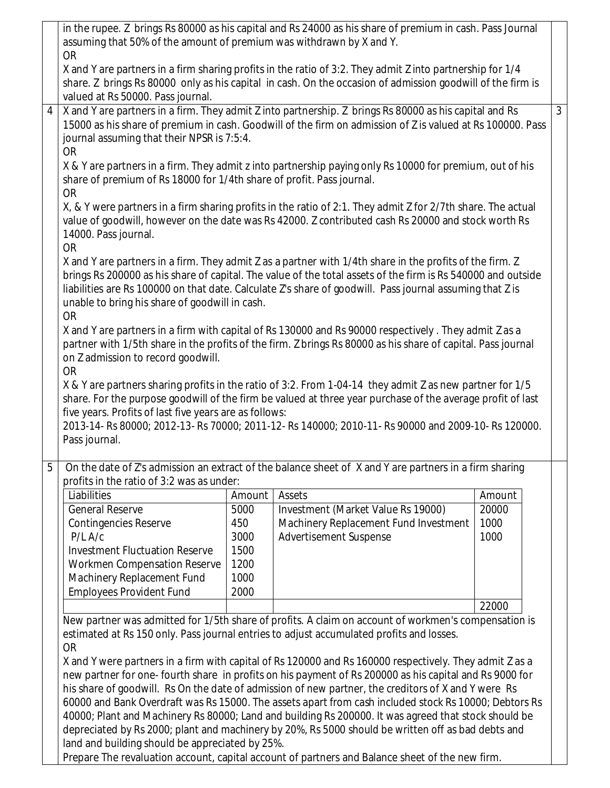|   | in the rupee. Z brings Rs 80000 as his capital and Rs 24000 as his share of premium in cash. Pass Journal<br>assuming that 50% of the amount of premium was withdrawn by X and Y. |             |                                                                                                                                                                                                              |               |                |  |  |  |  |  |  |
|---|-----------------------------------------------------------------------------------------------------------------------------------------------------------------------------------|-------------|--------------------------------------------------------------------------------------------------------------------------------------------------------------------------------------------------------------|---------------|----------------|--|--|--|--|--|--|
|   |                                                                                                                                                                                   |             |                                                                                                                                                                                                              |               |                |  |  |  |  |  |  |
|   | <b>OR</b>                                                                                                                                                                         |             | X and Y are partners in a firm sharing profits in the ratio of 3:2. They admit Z into partnership for 1/4                                                                                                    |               |                |  |  |  |  |  |  |
|   |                                                                                                                                                                                   |             | share. Z brings Rs 80000 only as his capital in cash. On the occasion of admission goodwill of the firm is                                                                                                   |               |                |  |  |  |  |  |  |
|   | valued at Rs 50000. Pass journal.                                                                                                                                                 |             |                                                                                                                                                                                                              |               |                |  |  |  |  |  |  |
| 4 |                                                                                                                                                                                   |             | X and Y are partners in a firm. They admit Z into partnership. Z brings Rs 80000 as his capital and Rs                                                                                                       |               | $\overline{3}$ |  |  |  |  |  |  |
|   |                                                                                                                                                                                   |             | 15000 as his share of premium in cash. Goodwill of the firm on admission of Z is valued at Rs 100000. Pass                                                                                                   |               |                |  |  |  |  |  |  |
|   | journal assuming that their NPSR is 7:5:4.                                                                                                                                        |             |                                                                                                                                                                                                              |               |                |  |  |  |  |  |  |
|   | <b>OR</b>                                                                                                                                                                         |             |                                                                                                                                                                                                              |               |                |  |  |  |  |  |  |
|   | X & Y are partners in a firm. They admit z into partnership paying only Rs 10000 for premium, out of his                                                                          |             |                                                                                                                                                                                                              |               |                |  |  |  |  |  |  |
|   | share of premium of Rs 18000 for 1/4th share of profit. Pass journal.                                                                                                             |             |                                                                                                                                                                                                              |               |                |  |  |  |  |  |  |
|   | <b>OR</b>                                                                                                                                                                         |             |                                                                                                                                                                                                              |               |                |  |  |  |  |  |  |
|   |                                                                                                                                                                                   |             | X, & Y were partners in a firm sharing profits in the ratio of 2:1. They admit Z for 2/7th share. The actual                                                                                                 |               |                |  |  |  |  |  |  |
|   | 14000. Pass journal.                                                                                                                                                              |             | value of goodwill, however on the date was Rs 42000. Z contributed cash Rs 20000 and stock worth Rs                                                                                                          |               |                |  |  |  |  |  |  |
|   | <b>OR</b>                                                                                                                                                                         |             |                                                                                                                                                                                                              |               |                |  |  |  |  |  |  |
|   |                                                                                                                                                                                   |             | X and Y are partners in a firm. They admit Z as a partner with 1/4th share in the profits of the firm. Z                                                                                                     |               |                |  |  |  |  |  |  |
|   |                                                                                                                                                                                   |             | brings Rs 200000 as his share of capital. The value of the total assets of the firm is Rs 540000 and outside                                                                                                 |               |                |  |  |  |  |  |  |
|   |                                                                                                                                                                                   |             | liabilities are Rs 100000 on that date. Calculate Z's share of goodwill. Pass journal assuming that Z is                                                                                                     |               |                |  |  |  |  |  |  |
|   | unable to bring his share of goodwill in cash.                                                                                                                                    |             |                                                                                                                                                                                                              |               |                |  |  |  |  |  |  |
|   | <b>OR</b>                                                                                                                                                                         |             |                                                                                                                                                                                                              |               |                |  |  |  |  |  |  |
|   |                                                                                                                                                                                   |             | X and Y are partners in a firm with capital of Rs 130000 and Rs 90000 respectively. They admit Z as a                                                                                                        |               |                |  |  |  |  |  |  |
|   |                                                                                                                                                                                   |             | partner with 1/5th share in the profits of the firm. Z brings Rs 80000 as his share of capital. Pass journal                                                                                                 |               |                |  |  |  |  |  |  |
|   | on Z admission to record goodwill.<br><b>OR</b>                                                                                                                                   |             |                                                                                                                                                                                                              |               |                |  |  |  |  |  |  |
|   |                                                                                                                                                                                   |             | X & Y are partners sharing profits in the ratio of 3:2. From 1-04-14 they admit Z as new partner for 1/5                                                                                                     |               |                |  |  |  |  |  |  |
|   |                                                                                                                                                                                   |             | share. For the purpose goodwill of the firm be valued at three year purchase of the average profit of last                                                                                                   |               |                |  |  |  |  |  |  |
|   | five years. Profits of last five years are as follows:                                                                                                                            |             |                                                                                                                                                                                                              |               |                |  |  |  |  |  |  |
|   |                                                                                                                                                                                   |             | 2013-14- Rs 80000; 2012-13- Rs 70000; 2011-12- Rs 140000; 2010-11- Rs 90000 and 2009-10- Rs 120000.                                                                                                          |               |                |  |  |  |  |  |  |
|   | Pass journal.                                                                                                                                                                     |             |                                                                                                                                                                                                              |               |                |  |  |  |  |  |  |
|   |                                                                                                                                                                                   |             |                                                                                                                                                                                                              |               |                |  |  |  |  |  |  |
| 5 |                                                                                                                                                                                   |             | On the date of Z's admission an extract of the balance sheet of X and Y are partners in a firm sharing                                                                                                       |               |                |  |  |  |  |  |  |
|   | profits in the ratio of 3:2 was as under:                                                                                                                                         |             |                                                                                                                                                                                                              |               |                |  |  |  |  |  |  |
|   | Liabilities                                                                                                                                                                       | Amount      | Assets                                                                                                                                                                                                       | Amount        |                |  |  |  |  |  |  |
|   | <b>General Reserve</b><br><b>Contingencies Reserve</b>                                                                                                                            | 5000<br>450 | Investment (Market Value Rs 19000)<br>Machinery Replacement Fund Investment                                                                                                                                  | 20000<br>1000 |                |  |  |  |  |  |  |
|   | $P/L$ A/c                                                                                                                                                                         | 3000        | Advertisement Suspense                                                                                                                                                                                       | 1000          |                |  |  |  |  |  |  |
|   | <b>Investment Fluctuation Reserve</b>                                                                                                                                             | 1500        |                                                                                                                                                                                                              |               |                |  |  |  |  |  |  |
|   | <b>Workmen Compensation Reserve</b>                                                                                                                                               | 1200        |                                                                                                                                                                                                              |               |                |  |  |  |  |  |  |
|   | Machinery Replacement Fund                                                                                                                                                        | 1000        |                                                                                                                                                                                                              |               |                |  |  |  |  |  |  |
|   | <b>Employees Provident Fund</b>                                                                                                                                                   | 2000        |                                                                                                                                                                                                              |               |                |  |  |  |  |  |  |
|   |                                                                                                                                                                                   |             |                                                                                                                                                                                                              | 22000         |                |  |  |  |  |  |  |
|   |                                                                                                                                                                                   |             | New partner was admitted for 1/5th share of profits. A claim on account of workmen's compensation is                                                                                                         |               |                |  |  |  |  |  |  |
|   |                                                                                                                                                                                   |             | estimated at Rs 150 only. Pass journal entries to adjust accumulated profits and losses.                                                                                                                     |               |                |  |  |  |  |  |  |
|   | <b>OR</b>                                                                                                                                                                         |             |                                                                                                                                                                                                              |               |                |  |  |  |  |  |  |
|   |                                                                                                                                                                                   |             | X and Y were partners in a firm with capital of Rs 120000 and Rs 160000 respectively. They admit Z as a                                                                                                      |               |                |  |  |  |  |  |  |
|   |                                                                                                                                                                                   |             | new partner for one-fourth share in profits on his payment of Rs 200000 as his capital and Rs 9000 for                                                                                                       |               |                |  |  |  |  |  |  |
|   |                                                                                                                                                                                   |             | his share of goodwill. Rs On the date of admission of new partner, the creditors of X and Y were Rs<br>60000 and Bank Overdraft was Rs 15000. The assets apart from cash included stock Rs 10000; Debtors Rs |               |                |  |  |  |  |  |  |
|   |                                                                                                                                                                                   |             | 40000; Plant and Machinery Rs 80000; Land and building Rs 200000. It was agreed that stock should be                                                                                                         |               |                |  |  |  |  |  |  |
|   |                                                                                                                                                                                   |             | depreciated by Rs 2000; plant and machinery by 20%, Rs 5000 should be written off as bad debts and                                                                                                           |               |                |  |  |  |  |  |  |
|   |                                                                                                                                                                                   |             |                                                                                                                                                                                                              |               |                |  |  |  |  |  |  |
|   | land and building should be appreciated by 25%.                                                                                                                                   |             |                                                                                                                                                                                                              |               |                |  |  |  |  |  |  |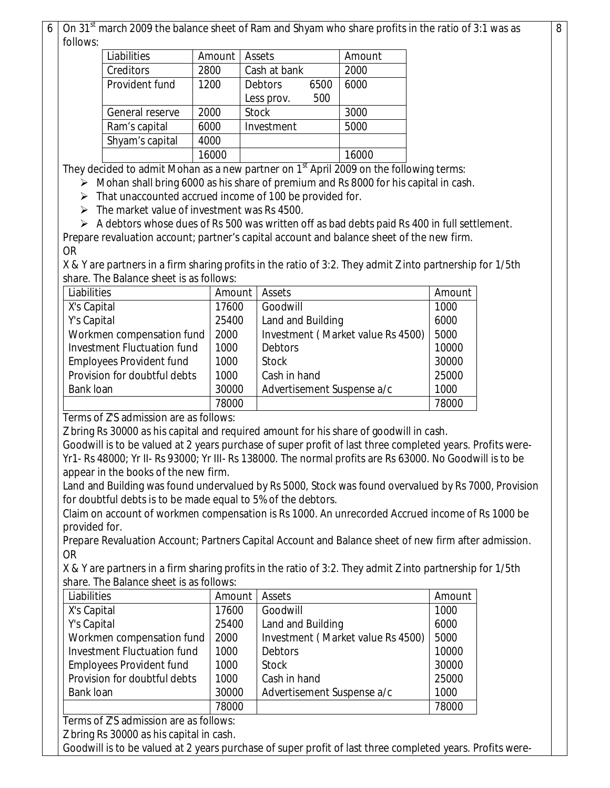On 31<sup>st</sup> march 2009 the balance sheet of Ram and Shyam who share profits in the ratio of 3:1 was as follows:

8

| Liabilities     | Amount | Assets         |              | Amount |
|-----------------|--------|----------------|--------------|--------|
| Creditors       | 2800   | Cash at bank   |              | 2000   |
| Provident fund  | 1200   | <b>Debtors</b> | 6000<br>6500 |        |
|                 |        | Less prov.     | 500          |        |
| General reserve | 2000   | <b>Stock</b>   |              | 3000   |
| Ram's capital   | 6000   | Investment     |              | 5000   |
| Shyam's capital | 4000   |                |              |        |
|                 | 16000  |                |              | 16000  |
|                 |        |                |              |        |

They decided to admit Mohan as a new partner on  $1<sup>st</sup>$  April 2009 on the following terms:

 $\triangleright$  Mohan shall bring 6000 as his share of premium and Rs 8000 for his capital in cash.

 $\triangleright$  That unaccounted accrued income of 100 be provided for.

 $\triangleright$  The market value of investment was Rs 4500.

A debtors whose dues of Rs 500 was written off as bad debts paid Rs 400 in full settlement.

Prepare revaluation account; partner's capital account and balance sheet of the new firm. OR

X & Y are partners in a firm sharing profits in the ratio of 3:2. They admit Z into partnership for 1/5th share. The Balance sheet is as follows:

| Liabilities                     | Amount | Assets                            | Amount |
|---------------------------------|--------|-----------------------------------|--------|
| X's Capital                     | 17600  | Goodwill                          | 1000   |
| Y's Capital                     | 25400  | Land and Building                 | 6000   |
| Workmen compensation fund       | 2000   | Investment (Market value Rs 4500) | 5000   |
| Investment Fluctuation fund     | 1000   | <b>Debtors</b>                    | 10000  |
| <b>Employees Provident fund</b> | 1000   | <b>Stock</b>                      | 30000  |
| Provision for doubtful debts    | 1000   | Cash in hand                      | 25000  |
| Bank loan                       | 30000  | Advertisement Suspense a/c        | 1000   |
|                                 | 78000  |                                   | 78000  |

Terms of Z'S admission are as follows:

Z bring Rs 30000 as his capital and required amount for his share of goodwill in cash.

Goodwill is to be valued at 2 years purchase of super profit of last three completed years. Profits were-Yr1- Rs 48000; Yr II- Rs 93000; Yr III- Rs 138000. The normal profits are Rs 63000. No Goodwill is to be appear in the books of the new firm.

Land and Building was found undervalued by Rs 5000, Stock was found overvalued by Rs 7000, Provision for doubtful debts is to be made equal to 5% of the debtors.

Claim on account of workmen compensation is Rs 1000. An unrecorded Accrued income of Rs 1000 be provided for.

Prepare Revaluation Account; Partners Capital Account and Balance sheet of new firm after admission. OR

X & Y are partners in a firm sharing profits in the ratio of 3:2. They admit Z into partnership for 1/5th share. The Balance sheet is as follows:

| Liabilities                     | Amount | Assets                            | Amount |
|---------------------------------|--------|-----------------------------------|--------|
| X's Capital                     | 17600  | Goodwill                          | 1000   |
| Y's Capital                     | 25400  | Land and Building                 | 6000   |
| Workmen compensation fund       | 2000   | Investment (Market value Rs 4500) | 5000   |
| Investment Fluctuation fund     | 1000   | <b>Debtors</b>                    | 10000  |
| <b>Employees Provident fund</b> | 1000   | <b>Stock</b>                      | 30000  |
| Provision for doubtful debts    | 1000   | Cash in hand                      | 25000  |
| <b>Bank loan</b>                | 30000  | Advertisement Suspense a/c        | 1000   |
|                                 | 78000  |                                   | 78000  |

Terms of Z'S admission are as follows:

Z bring Rs 30000 as his capital in cash.

Goodwill is to be valued at 2 years purchase of super profit of last three completed years. Profits were-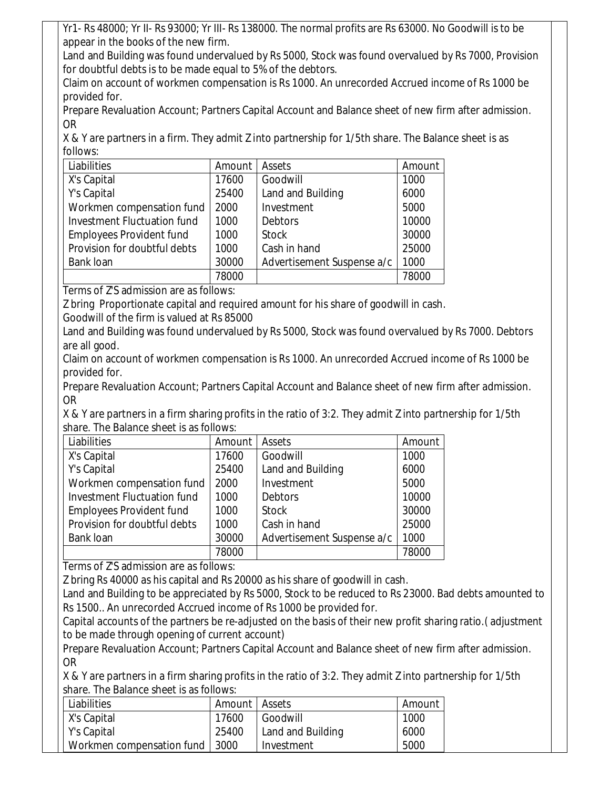Yr1- Rs 48000; Yr II- Rs 93000; Yr III- Rs 138000. The normal profits are Rs 63000. No Goodwill is to be appear in the books of the new firm.

Land and Building was found undervalued by Rs 5000, Stock was found overvalued by Rs 7000, Provision for doubtful debts is to be made equal to 5% of the debtors.

Claim on account of workmen compensation is Rs 1000. An unrecorded Accrued income of Rs 1000 be provided for.

Prepare Revaluation Account; Partners Capital Account and Balance sheet of new firm after admission. OR

X & Y are partners in a firm. They admit Z into partnership for 1/5th share. The Balance sheet is as follows:

| Liabilities                        | Amount | Assets                     | Amount |
|------------------------------------|--------|----------------------------|--------|
| X's Capital                        | 17600  | Goodwill                   | 1000   |
| Y's Capital                        | 25400  | Land and Building          | 6000   |
| Workmen compensation fund          | 2000   | Investment                 | 5000   |
| <b>Investment Fluctuation fund</b> | 1000   | <b>Debtors</b>             | 10000  |
| <b>Employees Provident fund</b>    | 1000   | <b>Stock</b>               | 30000  |
| Provision for doubtful debts       | 1000   | Cash in hand               | 25000  |
| Bank loan                          | 30000  | Advertisement Suspense a/c | 1000   |
|                                    | 78000  |                            | 78000  |

Terms of Z'S admission are as follows:

Z bring Proportionate capital and required amount for his share of goodwill in cash.

Goodwill of the firm is valued at Rs 85000

Land and Building was found undervalued by Rs 5000, Stock was found overvalued by Rs 7000. Debtors are all good.

Claim on account of workmen compensation is Rs 1000. An unrecorded Accrued income of Rs 1000 be provided for.

Prepare Revaluation Account; Partners Capital Account and Balance sheet of new firm after admission. OR

X & Y are partners in a firm sharing profits in the ratio of 3:2. They admit Z into partnership for 1/5th share. The Balance sheet is as follows:

| Liabilities                     | Amount | Assets                     | Amount |
|---------------------------------|--------|----------------------------|--------|
| X's Capital                     | 17600  | Goodwill                   | 1000   |
| Y's Capital                     | 25400  | Land and Building          | 6000   |
| Workmen compensation fund       | 2000   | Investment                 | 5000   |
| Investment Fluctuation fund     | 1000   | <b>Debtors</b>             | 10000  |
| <b>Employees Provident fund</b> | 1000   | <b>Stock</b>               | 30000  |
| Provision for doubtful debts    | 1000   | Cash in hand               | 25000  |
| Bank loan                       | 30000  | Advertisement Suspense a/c | 1000   |
|                                 | 78000  |                            | 78000  |

Terms of Z'S admission are as follows:

Z bring Rs 40000 as his capital and Rs 20000 as his share of goodwill in cash.

Land and Building to be appreciated by Rs 5000, Stock to be reduced to Rs 23000. Bad debts amounted to Rs 1500.. An unrecorded Accrued income of Rs 1000 be provided for.

Capital accounts of the partners be re-adjusted on the basis of their new profit sharing ratio.( adjustment to be made through opening of current account)

Prepare Revaluation Account; Partners Capital Account and Balance sheet of new firm after admission. OR

X & Y are partners in a firm sharing profits in the ratio of 3:2. They admit Z into partnership for 1/5th share. The Balance sheet is as follows:

| Liabilities                      | Amount   Assets |                   | Amount |
|----------------------------------|-----------------|-------------------|--------|
| X's Capital                      | 17600           | Goodwill          | 1000   |
| Y's Capital                      | 25400           | Land and Building | 6000   |
| Workmen compensation fund   3000 |                 | Investment        | 5000   |